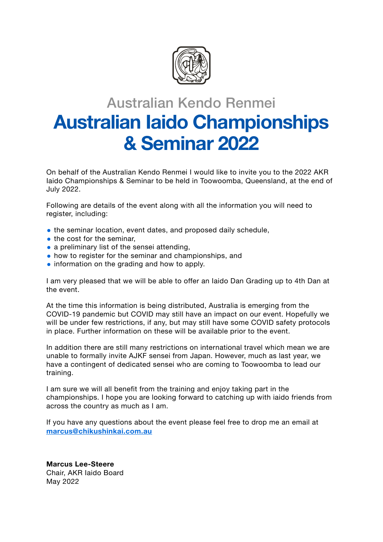

# Australian Kendo Renmei **Australian Iaido Championships & Seminar 2022**

On behalf of the Australian Kendo Renmei I would like to invite you to the 2022 AKR Iaido Championships & Seminar to be held in Toowoomba, Queensland, at the end of July 2022.

Following are details of the event along with all the information you will need to register, including:

- the seminar location, event dates, and proposed daily schedule,
- the cost for the seminar,
- a preliminary list of the sensei attending,
- how to register for the seminar and championships, and
- information on the grading and how to apply.

I am very pleased that we will be able to offer an Iaido Dan Grading up to 4th Dan at the event.

At the time this information is being distributed, Australia is emerging from the COVID-19 pandemic but COVID may still have an impact on our event. Hopefully we will be under few restrictions, if any, but may still have some COVID safety protocols in place. Further information on these will be available prior to the event.

In addition there are still many restrictions on international travel which mean we are unable to formally invite AJKF sensei from Japan. However, much as last year, we have a contingent of dedicated sensei who are coming to Toowoomba to lead our training.

I am sure we will all benefit from the training and enjoy taking part in the championships. I hope you are looking forward to catching up with iaido friends from across the country as much as I am.

If you have any questions about the event please feel free to drop me an email at **[marcus@chikushinkai.com.au](mailto:marcus@chikushinkai.com.au)**

**Marcus Lee-Steere** Chair, AKR Iaido Board May 2022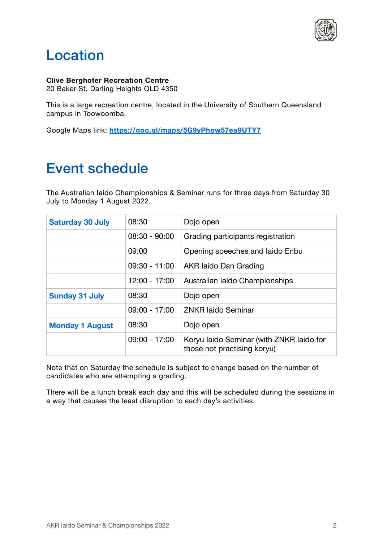

### Location

**Clive Berghofer Recreation Centre**

20 Baker St, Darling Heights QLD 4350

This is a large recreation centre, located in the University of Southern Queensland campus in Toowoomba.

Google Maps link: **<https://goo.gl/maps/5G9yPhow57ea9UTY7>**

#### Event schedule

The Australian Iaido Championships & Seminar runs for three days from Saturday 30 July to Monday 1 August 2022.

| <b>Saturday 30 July</b> | 08:30           | Dojo open                                                               |
|-------------------------|-----------------|-------------------------------------------------------------------------|
|                         | $08:30 - 90:00$ | Grading participants registration                                       |
|                         | 09:00           | Opening speeches and laido Enbu                                         |
|                         | $09:30 - 11:00$ | AKR laido Dan Grading                                                   |
|                         | 12:00 - 17:00   | Australian laido Championships                                          |
| <b>Sunday 31 July</b>   | 08:30           | Dojo open                                                               |
|                         | $09:00 - 17:00$ | <b>ZNKR laido Seminar</b>                                               |
| <b>Monday 1 August</b>  | 08:30           | Dojo open                                                               |
|                         | $09:00 - 17:00$ | Koryu laido Seminar (with ZNKR laido for<br>those not practising koryu) |

Note that on Saturday the schedule is subject to change based on the number of candidates who are attempting a grading.

There will be a lunch break each day and this will be scheduled during the sessions in a way that causes the least disruption to each day's activities.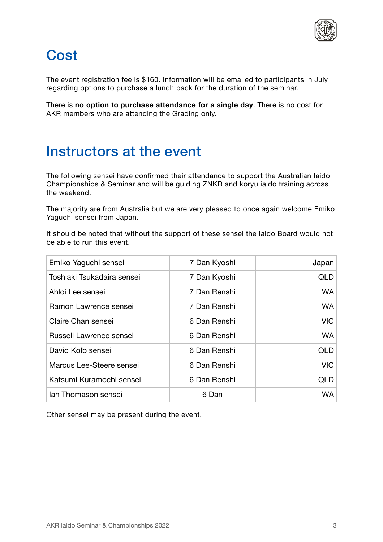

## **Cost**

The event registration fee is \$160. Information will be emailed to participants in July regarding options to purchase a lunch pack for the duration of the seminar.

There is **no option to purchase attendance for a single day**. There is no cost for AKR members who are attending the Grading only.

#### Instructors at the event

The following sensei have confirmed their attendance to support the Australian Iaido Championships & Seminar and will be guiding ZNKR and koryu iaido training across the weekend.

The majority are from Australia but we are very pleased to once again welcome Emiko Yaguchi sensei from Japan.

It should be noted that without the support of these sensei the Iaido Board would not be able to run this event.

| Emiko Yaguchi sensei       | 7 Dan Kyoshi | Japan      |
|----------------------------|--------------|------------|
| Toshiaki Tsukadaira sensei | 7 Dan Kyoshi | <b>QLD</b> |
| Ahloi Lee sensei           | 7 Dan Renshi | <b>WA</b>  |
| Ramon Lawrence sensei      | 7 Dan Renshi | <b>WA</b>  |
| Claire Chan sensei         | 6 Dan Renshi | <b>VIC</b> |
| Russell Lawrence sensei    | 6 Dan Renshi | <b>WA</b>  |
| David Kolb sensei          | 6 Dan Renshi | QLD        |
| Marcus Lee-Steere sensei   | 6 Dan Renshi | <b>VIC</b> |
| Katsumi Kuramochi sensei   | 6 Dan Renshi | QLD        |
| lan Thomason sensei        | 6 Dan        | <b>WA</b>  |

Other sensei may be present during the event.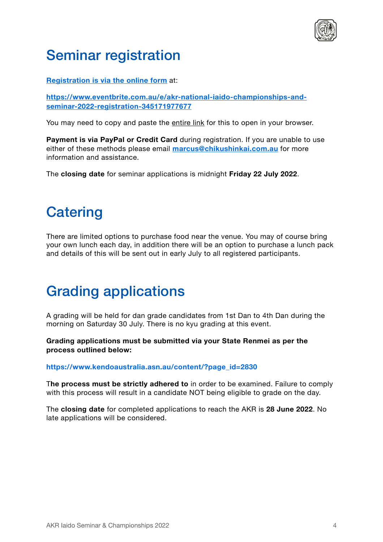

#### Seminar registration

**[Registration is via the online form](https://www.eventbrite.com.au/e/akr-national-iaido-championships-and-seminar-2022-registration-345171977677)** at:

**[https://www.eventbrite.com.au/e/akr-national-iaido-championships-and](https://www.eventbrite.com.au/e/akr-national-iaido-championships-and-seminar-2022-registration-345171977677)[seminar-2022-registration-345171977677](https://www.eventbrite.com.au/e/akr-national-iaido-championships-and-seminar-2022-registration-345171977677)**

You may need to copy and paste the entire link for this to open in your browser.

**Payment is via PayPal or Credit Card** during registration. If you are unable to use either of these methods please email **[marcus@chikushinkai.com.au](mailto:marcus@chikushinkai.com.au)** for more information and assistance.

The **closing date** for seminar applications is midnight **Friday 22 July 2022**.

### **Catering**

There are limited options to purchase food near the venue. You may of course bring your own lunch each day, in addition there will be an option to purchase a lunch pack and details of this will be sent out in early July to all registered participants.

#### Grading applications

A grading will be held for dan grade candidates from 1st Dan to 4th Dan during the morning on Saturday 30 July. There is no kyu grading at this event.

**Grading applications must be submitted via your State Renmei as per the process outlined below:** 

**https://www.kendoaustralia.asn.au/content/?page\_id=2830** 

T**he process must be strictly adhered to** in order to be examined. Failure to comply with this process will result in a candidate NOT being eligible to grade on the day.

The **closing date** for completed applications to reach the AKR is **28 June 2022**. No late applications will be considered.